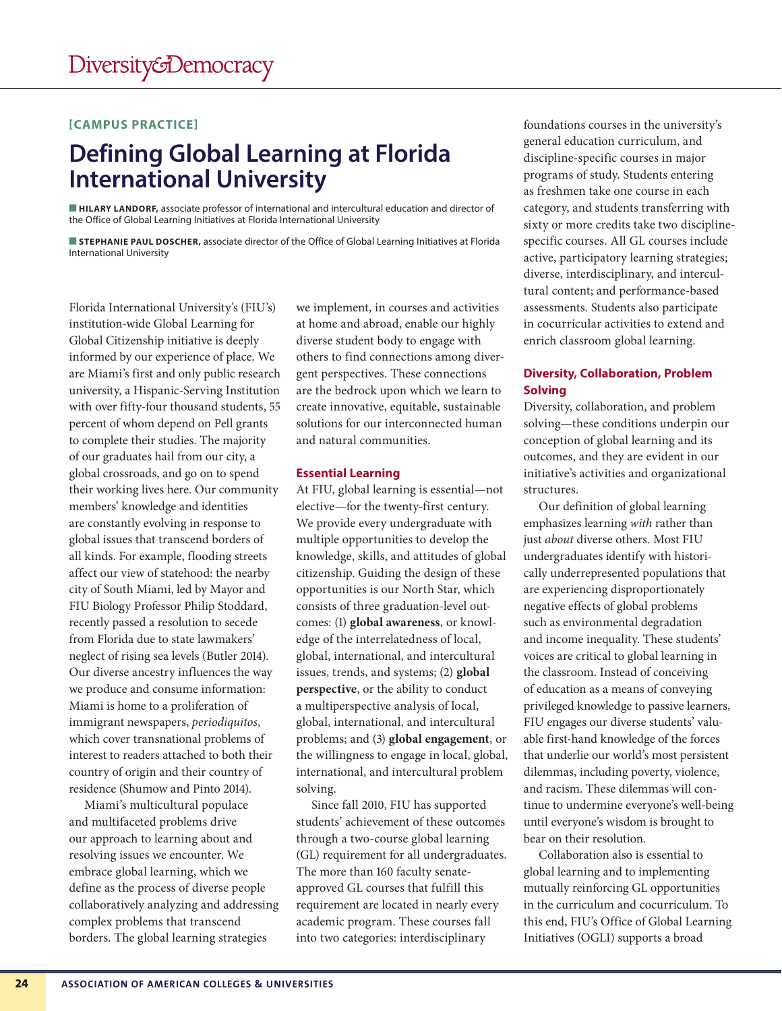## **[CAMPUS PRACTICE]**

# **Defining Global Learning at Florida International University**

 **HILARY LANDORF,** associate professor of international and intercultural education and director of the Office of Global Learning Initiatives at Florida International University

 **STEPHANIE PAUL DOSCHER,** associate director of the Office of Global Learning Initiatives at Florida International University

Florida International University's (FIU's) institution-wide Global Learning for Global Citizenship initiative is deeply informed by our experience of place. We are Miami's first and only public research university, a Hispanic-Serving Institution with over fifty-four thousand students, 55 percent of whom depend on Pell grants to complete their studies. The majority of our graduates hail from our city, a global crossroads, and go on to spend their working lives here. Our community members' knowledge and identities are constantly evolving in response to global issues that transcend borders of all kinds. For example, flooding streets affect our view of statehood: the nearby city of South Miami, led by Mayor and FIU Biology Professor Philip Stoddard, recently passed a resolution to secede from Florida due to state lawmakers' neglect of rising sea levels (Butler 2014). Our diverse ancestry influences the way we produce and consume information: Miami is home to a proliferation of immigrant newspapers, *periodiquitos*, which cover transnational problems of interest to readers attached to both their country of origin and their country of residence (Shumow and Pinto 2014).

Miami's multicultural populace and multifaceted problems drive our approach to learning about and resolving issues we encounter. We embrace global learning, which we define as the process of diverse people collaboratively analyzing and addressing complex problems that transcend borders. The global learning strategies

we implement, in courses and activities at home and abroad, enable our highly diverse student body to engage with others to find connections among divergent perspectives. These connections are the bedrock upon which we learn to create innovative, equitable, sustainable solutions for our interconnected human and natural communities.

### **Essential Learning**

At FIU, global learning is essential—not elective—for the twenty-first century. We provide every undergraduate with multiple opportunities to develop the knowledge, skills, and attitudes of global citizenship. Guiding the design of these opportunities is our North Star, which consists of three graduation-level outcomes: (1) **global awareness**, or knowledge of the interrelatedness of local, global, international, and intercultural issues, trends, and systems; (2) **global perspective**, or the ability to conduct a multiperspective analysis of local, global, international, and intercultural problems; and (3) **global engagement**, or the willingness to engage in local, global, international, and intercultural problem solving.

Since fall 2010, FIU has supported students' achievement of these outcomes through a two-course global learning (GL) requirement for all undergraduates. The more than 160 faculty senateapproved GL courses that fulfill this requirement are located in nearly every academic program. These courses fall into two categories: interdisciplinary

foundations courses in the university's general education curriculum, and discipline-specific courses in major programs of study. Students entering as freshmen take one course in each category, and students transferring with sixty or more credits take two disciplinespecific courses. All GL courses include active, participatory learning strategies; diverse, interdisciplinary, and intercultural content; and performance-based assessments. Students also participate in cocurricular activities to extend and enrich classroom global learning.

# **Diversity, Collaboration, Problem Solving**

Diversity, collaboration, and problem solving—these conditions underpin our conception of global learning and its outcomes, and they are evident in our initiative's activities and organizational structures.

Our definition of global learning emphasizes learning *with* rather than just *about* diverse others*.* Most FIU undergraduates identify with historically underrepresented populations that are experiencing disproportionately negative effects of global problems such as environmental degradation and income inequality. These students' voices are critical to global learning in the classroom. Instead of conceiving of education as a means of conveying privileged knowledge to passive learners, FIU engages our diverse students' valuable first-hand knowledge of the forces that underlie our world's most persistent dilemmas, including poverty, violence, and racism. These dilemmas will continue to undermine everyone's well-being until everyone's wisdom is brought to bear on their resolution.

Collaboration also is essential to global learning and to implementing mutually reinforcing GL opportunities in the curriculum and cocurriculum. To this end, FIU's Office of Global Learning Initiatives (OGLI) supports a broad